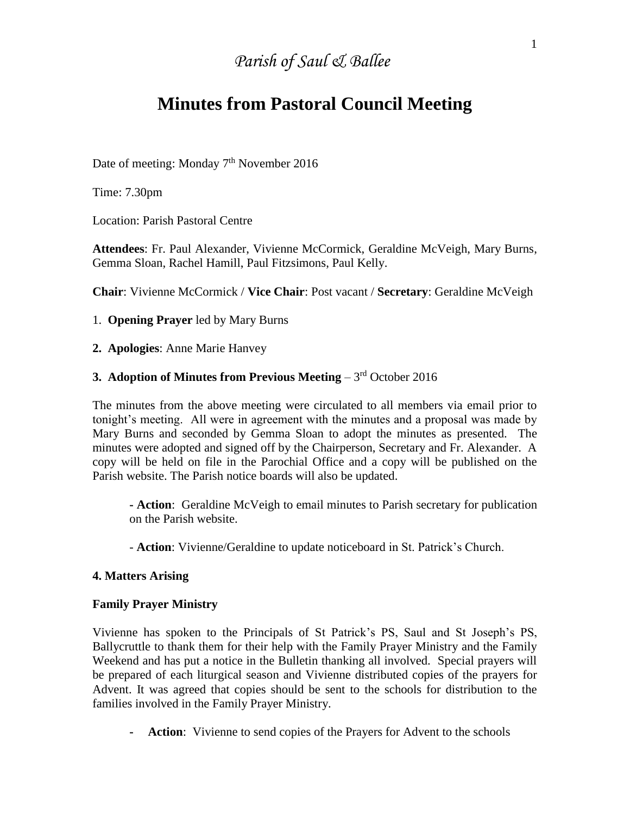# *Parish of Saul & Ballee*

# **Minutes from Pastoral Council Meeting**

Date of meeting: Monday 7<sup>th</sup> November 2016

Time: 7.30pm

Location: Parish Pastoral Centre

**Attendees**: Fr. Paul Alexander, Vivienne McCormick, Geraldine McVeigh, Mary Burns, Gemma Sloan, Rachel Hamill, Paul Fitzsimons, Paul Kelly.

**Chair**: Vivienne McCormick / **Vice Chair**: Post vacant / **Secretary**: Geraldine McVeigh

1. **Opening Prayer** led by Mary Burns

**2. Apologies**: Anne Marie Hanvey

## **3. Adoption of Minutes from Previous Meeting – 3rd October 2016**

The minutes from the above meeting were circulated to all members via email prior to tonight's meeting. All were in agreement with the minutes and a proposal was made by Mary Burns and seconded by Gemma Sloan to adopt the minutes as presented. The minutes were adopted and signed off by the Chairperson, Secretary and Fr. Alexander. A copy will be held on file in the Parochial Office and a copy will be published on the Parish website. The Parish notice boards will also be updated.

**- Action**: Geraldine McVeigh to email minutes to Parish secretary for publication on the Parish website.

- **Action**: Vivienne/Geraldine to update noticeboard in St. Patrick's Church.

#### **4. Matters Arising**

#### **Family Prayer Ministry**

Vivienne has spoken to the Principals of St Patrick's PS, Saul and St Joseph's PS, Ballycruttle to thank them for their help with the Family Prayer Ministry and the Family Weekend and has put a notice in the Bulletin thanking all involved. Special prayers will be prepared of each liturgical season and Vivienne distributed copies of the prayers for Advent. It was agreed that copies should be sent to the schools for distribution to the families involved in the Family Prayer Ministry.

**- Action**: Vivienne to send copies of the Prayers for Advent to the schools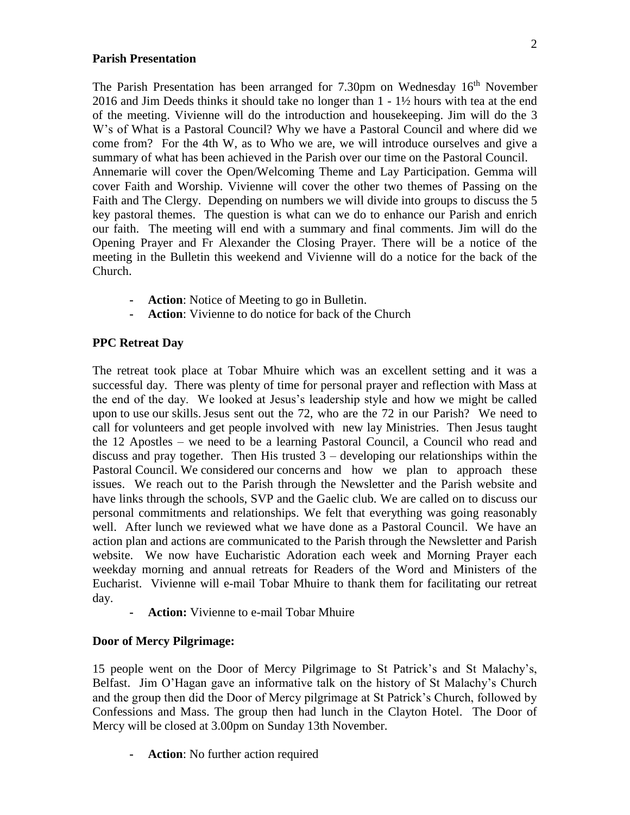#### **Parish Presentation**

The Parish Presentation has been arranged for 7.30pm on Wednesday 16<sup>th</sup> November 2016 and Jim Deeds thinks it should take no longer than 1 - 1½ hours with tea at the end of the meeting. Vivienne will do the introduction and housekeeping. Jim will do the 3 W's of What is a Pastoral Council? Why we have a Pastoral Council and where did we come from? For the 4th W, as to Who we are, we will introduce ourselves and give a summary of what has been achieved in the Parish over our time on the Pastoral Council. Annemarie will cover the Open/Welcoming Theme and Lay Participation. Gemma will cover Faith and Worship. Vivienne will cover the other two themes of Passing on the Faith and The Clergy. Depending on numbers we will divide into groups to discuss the 5 key pastoral themes. The question is what can we do to enhance our Parish and enrich our faith. The meeting will end with a summary and final comments. Jim will do the Opening Prayer and Fr Alexander the Closing Prayer. There will be a notice of the meeting in the Bulletin this weekend and Vivienne will do a notice for the back of the Church.

- **- Action**: Notice of Meeting to go in Bulletin.
- **- Action**: Vivienne to do notice for back of the Church

### **PPC Retreat Day**

The retreat took place at Tobar Mhuire which was an excellent setting and it was a successful day. There was plenty of time for personal prayer and reflection with Mass at the end of the day. We looked at Jesus's leadership style and how we might be called upon to use our skills.Jesus sent out the 72, who are the 72 in our Parish? We need to call for volunteers and get people involved with new lay Ministries. Then Jesus taught the 12 Apostles – we need to be a learning Pastoral Council, a Council who read and discuss and pray together. Then His trusted  $3$  – developing our relationships within the Pastoral Council. We considered our concerns and how we plan to approach these issues. We reach out to the Parish through the Newsletter and the Parish website and have links through the schools, SVP and the Gaelic club. We are called on to discuss our personal commitments and relationships. We felt that everything was going reasonably well. After lunch we reviewed what we have done as a Pastoral Council. We have an action plan and actions are communicated to the Parish through the Newsletter and Parish website. We now have Eucharistic Adoration each week and Morning Prayer each weekday morning and annual retreats for Readers of the Word and Ministers of the Eucharist. Vivienne will e-mail Tobar Mhuire to thank them for facilitating our retreat day.

**- Action:** Vivienne to e-mail Tobar Mhuire

#### **Door of Mercy Pilgrimage:**

15 people went on the Door of Mercy Pilgrimage to St Patrick's and St Malachy's, Belfast. Jim O'Hagan gave an informative talk on the history of St Malachy's Church and the group then did the Door of Mercy pilgrimage at St Patrick's Church, followed by Confessions and Mass. The group then had lunch in the Clayton Hotel. The Door of Mercy will be closed at 3.00pm on Sunday 13th November.

**- Action**: No further action required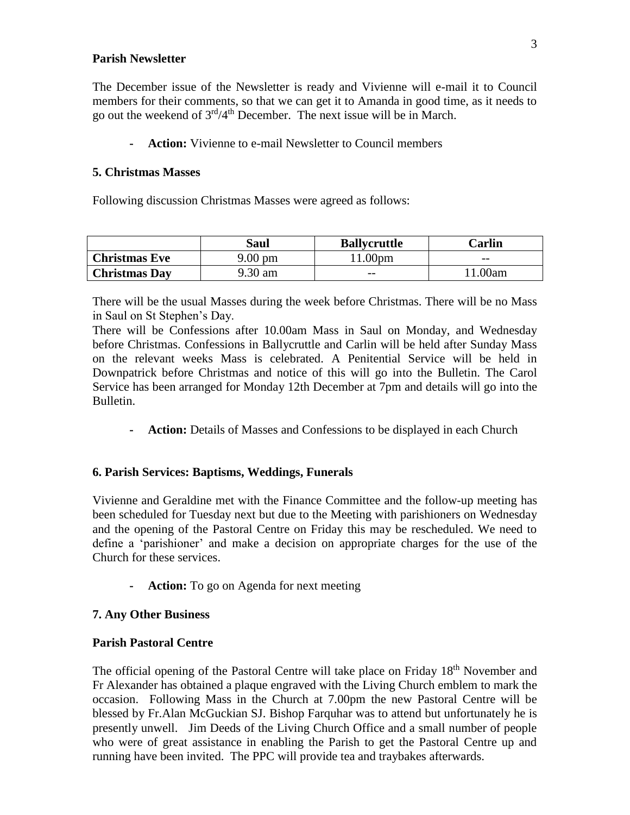#### **Parish Newsletter**

The December issue of the Newsletter is ready and Vivienne will e-mail it to Council members for their comments, so that we can get it to Amanda in good time, as it needs to go out the weekend of  $3<sup>rd</sup>/4<sup>th</sup>$  December. The next issue will be in March.

**- Action:** Vivienne to e-mail Newsletter to Council members

#### **5. Christmas Masses**

Following discussion Christmas Masses were agreed as follows:

|                      | Saul    | <b>Ballycruttle</b> | $\mathbb C$ arlin |
|----------------------|---------|---------------------|-------------------|
| <b>Christmas Eve</b> | 9.00 pm | .00 <sub>pm</sub>   | $- -$             |
| <b>Christmas Day</b> | 9.30 am | $- -$               | .00am             |

There will be the usual Masses during the week before Christmas. There will be no Mass in Saul on St Stephen's Day.

There will be Confessions after 10.00am Mass in Saul on Monday, and Wednesday before Christmas. Confessions in Ballycruttle and Carlin will be held after Sunday Mass on the relevant weeks Mass is celebrated. A Penitential Service will be held in Downpatrick before Christmas and notice of this will go into the Bulletin. The Carol Service has been arranged for Monday 12th December at 7pm and details will go into the Bulletin.

**- Action:** Details of Masses and Confessions to be displayed in each Church

#### **6. Parish Services: Baptisms, Weddings, Funerals**

Vivienne and Geraldine met with the Finance Committee and the follow-up meeting has been scheduled for Tuesday next but due to the Meeting with parishioners on Wednesday and the opening of the Pastoral Centre on Friday this may be rescheduled. We need to define a 'parishioner' and make a decision on appropriate charges for the use of the Church for these services.

**- Action:** To go on Agenda for next meeting

#### **7. Any Other Business**

#### **Parish Pastoral Centre**

The official opening of the Pastoral Centre will take place on Friday 18<sup>th</sup> November and Fr Alexander has obtained a plaque engraved with the Living Church emblem to mark the occasion. Following Mass in the Church at 7.00pm the new Pastoral Centre will be blessed by Fr.Alan McGuckian SJ. Bishop Farquhar was to attend but unfortunately he is presently unwell. Jim Deeds of the Living Church Office and a small number of people who were of great assistance in enabling the Parish to get the Pastoral Centre up and running have been invited. The PPC will provide tea and traybakes afterwards.